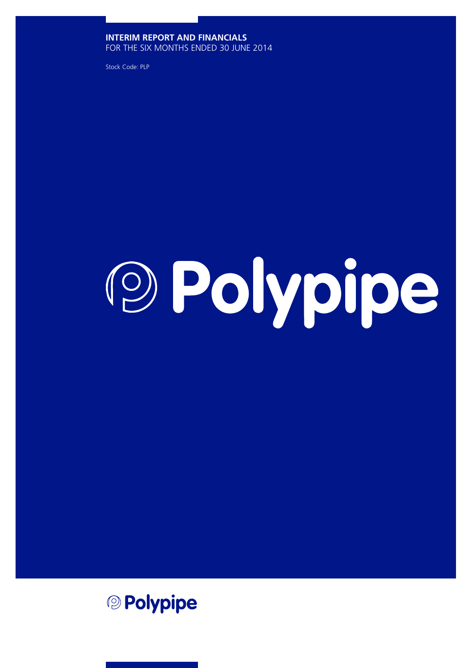# **Interim Report and Financials** for the six months ended 30 June 2014

Stock Code: PLP

# **O Polypipe**

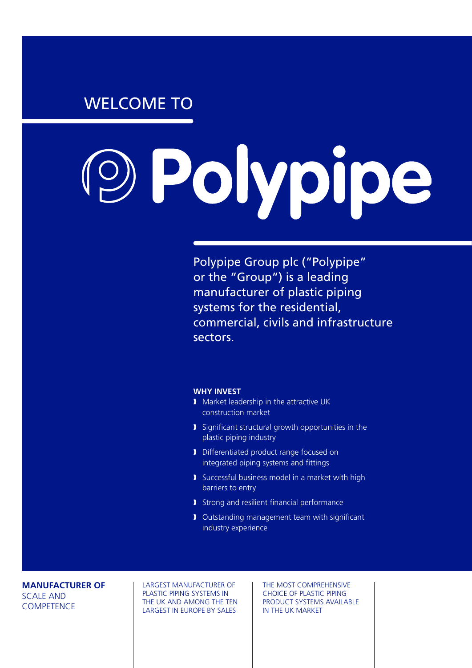# WELCOME TO

# Polypipe

Polypipe Group plc ("Polypipe" or the "Group") is a leading manufacturer of plastic piping systems for the residential, commercial, civils and infrastructure sectors.

### **WHY INVEST**

- **I** Market leadership in the attractive UK construction market
- ❱ Significant structural growth opportunities in the plastic piping industry
- Differentiated product range focused on integrated piping systems and fittings
- ❱ Successful business model in a market with high barriers to entry
- **I** Strong and resilient financial performance
- ❱ Outstanding management team with significant industry experience

**MANUFACTURER OF** SCALE AND **COMPETENCE** 

LARGEST MANUFACTURER OF PLASTIC PIPING SYSTEMS IN THE UK AND AMONG THE Ten LARGEST IN EUROPE BY SALES

THE MOST COMPREHENSIVE CHOICE OF PLASTIC PIPING PRODUCT SYSTEMS AVAILABLE in the uk market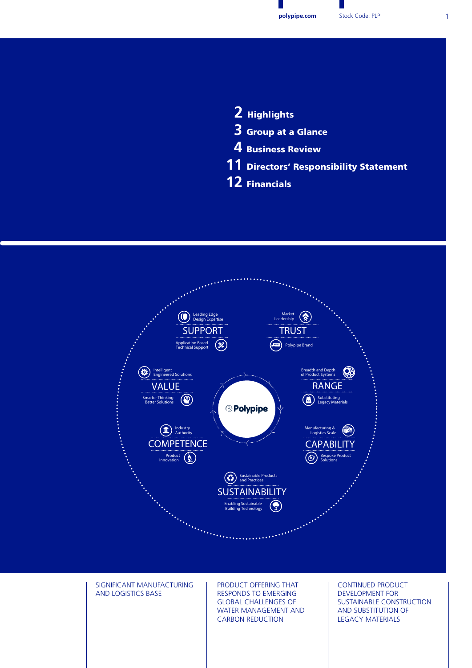- **2** Highlights
- **3** Group at a Glance
- **4** Business Review
- **11** Directors' Responsibility Statement
- **12** Financials



### SIGNIFICANT MANUFACTURING AND LOGISTICS BASE

pRODUCT OFFERING THAT RESPONDS TO EMERGING GLOBAL CHALLENGES of water management and **CARBON REDUCTION** 

CONTINUED PRODUCT development for sustainable construction and substitution of LEGACY MATERIALS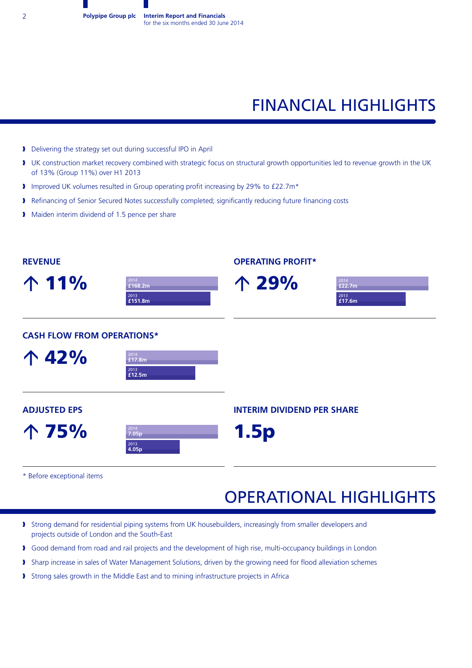# Financial Highlights

- ❱ Delivering the strategy set out during successful IPO in April
- ❱ UK construction market recovery combined with strategic focus on structural growth opportunities led to revenue growth in the UK of 13% (Group 11%) over H1 2013
- Improved UK volumes resulted in Group operating profit increasing by 29% to £22.7m\*
- Refinancing of Senior Secured Notes successfully completed; significantly reducing future financing costs
- Maiden interim dividend of 1.5 pence per share

| <b>REVENUE</b>                    |                                    | <b>OPERATING PROFIT*</b>          |                                  |
|-----------------------------------|------------------------------------|-----------------------------------|----------------------------------|
| $\uparrow$ 11%                    | 2014<br>£168.2m<br>2013<br>£151.8m | 个 29%                             | 2014<br>£22.7m<br>2013<br>£17.6m |
| <b>CASH FLOW FROM OPERATIONS*</b> |                                    |                                   |                                  |
| $\uparrow$ 42%                    | 2014<br>£17.8m<br>2013<br>£12.5m   |                                   |                                  |
| <b>ADJUSTED EPS</b>               |                                    | <b>INTERIM DIVIDEND PER SHARE</b> |                                  |
| 个 75%                             | 2014<br>7.05p<br>2013<br>4.05p     | 1.5p                              |                                  |
| * Before exceptional items        |                                    |                                   |                                  |

# operational Highlights

- ❱ Strong demand for residential piping systems from UK housebuilders, increasingly from smaller developers and projects outside of London and the South-East
- ❱ Good demand from road and rail projects and the development of high rise, multi-occupancy buildings in London
- I Sharp increase in sales of Water Management Solutions, driven by the growing need for flood alleviation schemes
- I Strong sales growth in the Middle East and to mining infrastructure projects in Africa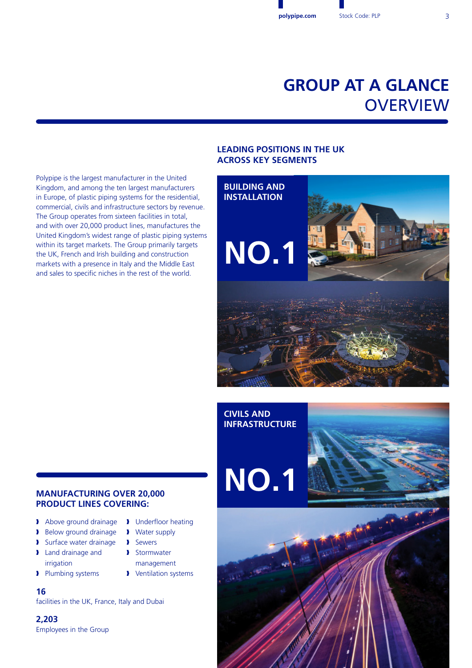# **Group at a Glance OVERVIEW**

# **leading positions in the uk across key segments**

Polypipe is the largest manufacturer in the United Kingdom, and among the ten largest manufacturers in Europe, of plastic piping systems for the residential, commercial, civils and infrastructure sectors by revenue. The Group operates from sixteen facilities in total, and with over 20,000 product lines, manufactures the United Kingdom's widest range of plastic piping systems within its target markets. The Group primarily targets the UK, French and Irish building and construction markets with a presence in Italy and the Middle East and sales to specific niches in the rest of the world.



# **civils and infrastructure**

**no.1**



# **Manufacturing over 20,000 product lines covering:**

- **Above ground drainage**
- Below ground drainage
- ❱ Surface water drainage
- **I** Land drainage and irrigation
- **Plumbing systems**
- **16**

facilities in the UK, France, Italy and Dubai

**2,203**  Employees in the Group

# **I** Underfloor heating

- **N** Water supply
- ❱ Sewers
- ❱ Stormwater
- management
- **I** Ventilation systems

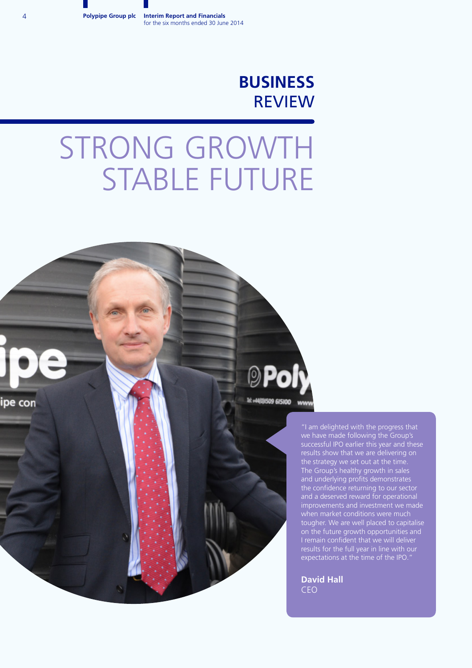0P

001309 615100

# strong growth stable future



**David Hall** CEO

ipe con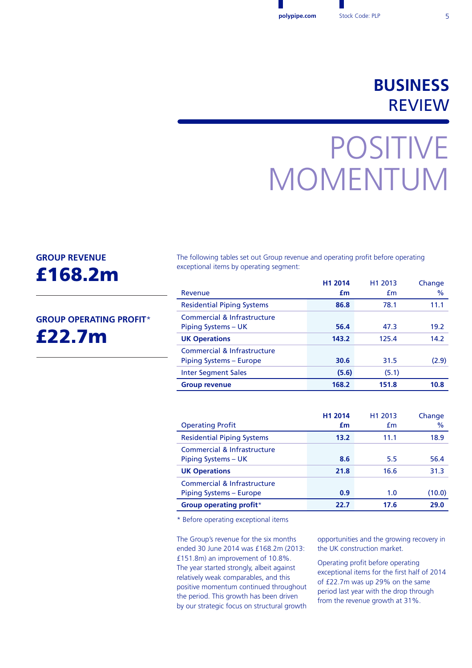# **POSITIVE** momentum

# **Group Revenue** £168.2m

**Group operating profit**\* £22.7m

The following tables set out Group revenue and operating profit before operating exceptional items by operating segment:

| Revenue                                                | H1 2014<br>£m | H1 2013<br>£m | Change<br>$\frac{0}{0}$ |
|--------------------------------------------------------|---------------|---------------|-------------------------|
| <b>Residential Piping Systems</b>                      | 86.8          | 78.1          | 11.1                    |
| Commercial & Infrastructure<br>Piping Systems – UK     | 56.4          | 47.3          | 19.2                    |
| <b>UK Operations</b>                                   | 143.2         | 125.4         | 14.2                    |
| Commercial & Infrastructure<br>Piping Systems – Europe | 30.6          | 31.5          | (2.9)                   |
| <b>Inter Segment Sales</b>                             | (5.6)         | (5.1)         |                         |
| <b>Group revenue</b>                                   | 168.2         | 151.8         | 10.8                    |
|                                                        |               |               |                         |

|                                        | H1 2014 | H1 2013 | Change        |
|----------------------------------------|---------|---------|---------------|
| <b>Operating Profit</b>                | £m      | £m      | $\frac{0}{0}$ |
| <b>Residential Piping Systems</b>      | 13.2    | 11.1    | 18.9          |
| <b>Commercial &amp; Infrastructure</b> |         |         |               |
| Piping Systems – UK                    | 8.6     | 5.5     | 56.4          |
| <b>UK Operations</b>                   | 21.8    | 16.6    | 31.3          |
| Commercial & Infrastructure            |         |         |               |
| Piping Systems – Europe                | 0.9     | 1.0     | (10.0)        |
| Group operating profit*                | 22.7    | 17.6    | 29.0          |

\* Before operating exceptional items

The Group's revenue for the six months ended 30 June 2014 was £168.2m (2013: £151.8m) an improvement of 10.8%. The year started strongly, albeit against relatively weak comparables, and this positive momentum continued throughout the period. This growth has been driven by our strategic focus on structural growth

opportunities and the growing recovery in the UK construction market.

Operating profit before operating exceptional items for the first half of 2014 of £22.7m was up 29% on the same period last year with the drop through from the revenue growth at 31%.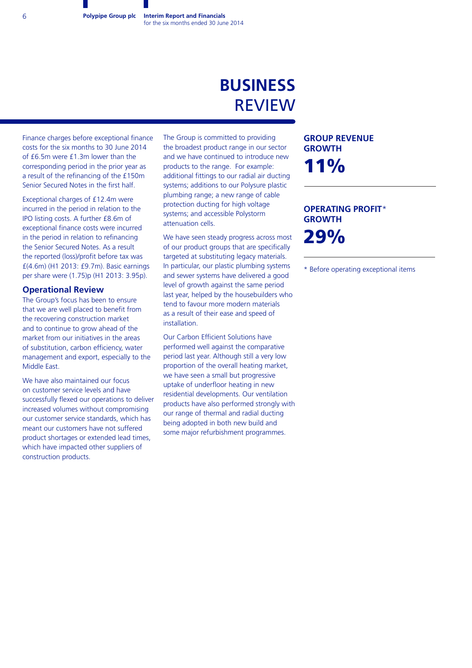Finance charges before exceptional finance costs for the six months to 30 June 2014 of £6.5m were £1.3m lower than the corresponding period in the prior year as a result of the refinancing of the £150m Senior Secured Notes in the first half.

Exceptional charges of £12.4m were incurred in the period in relation to the IPO listing costs. A further £8.6m of exceptional finance costs were incurred in the period in relation to refinancing the Senior Secured Notes. As a result the reported (loss)/profit before tax was £(4.6m) (H1 2013: £9.7m). Basic earnings per share were (1.75)p (H1 2013: 3.95p).

### **Operational Review**

The Group's focus has been to ensure that we are well placed to benefit from the recovering construction market and to continue to grow ahead of the market from our initiatives in the areas of substitution, carbon efficiency, water management and export, especially to the Middle East.

We have also maintained our focus on customer service levels and have successfully flexed our operations to deliver increased volumes without compromising our customer service standards, which has meant our customers have not suffered product shortages or extended lead times, which have impacted other suppliers of construction products.

The Group is committed to providing the broadest product range in our sector and we have continued to introduce new products to the range. For example: additional fittings to our radial air ducting systems; additions to our Polysure plastic plumbing range; a new range of cable protection ducting for high voltage systems; and accessible Polystorm attenuation cells.

We have seen steady progress across most of our product groups that are specifically targeted at substituting legacy materials. In particular, our plastic plumbing systems and sewer systems have delivered a good level of growth against the same period last year, helped by the housebuilders who tend to favour more modern materials as a result of their ease and speed of installation.

Our Carbon Efficient Solutions have performed well against the comparative period last year. Although still a very low proportion of the overall heating market, we have seen a small but progressive uptake of underfloor heating in new residential developments. Our ventilation products have also performed strongly with our range of thermal and radial ducting being adopted in both new build and some major refurbishment programmes.

# **Group revenue growth** 11%

# **Operating profit**\* **Growth** 29%

\* Before operating exceptional items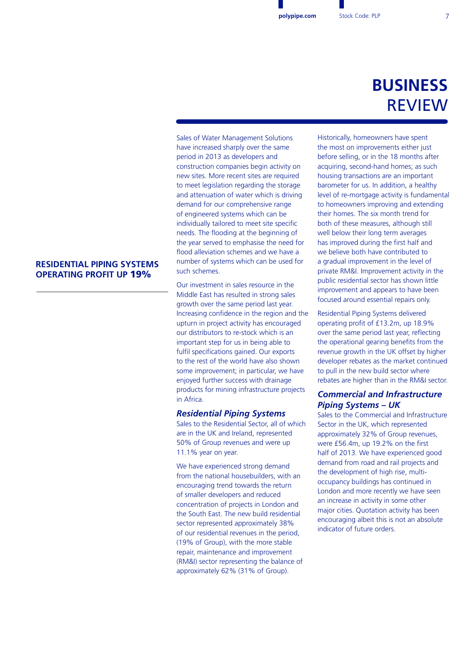Sales of Water Management Solutions have increased sharply over the same period in 2013 as developers and construction companies begin activity on new sites. More recent sites are required to meet legislation regarding the storage and attenuation of water which is driving demand for our comprehensive range of engineered systems which can be individually tailored to meet site specific needs. The flooding at the beginning of the year served to emphasise the need for flood alleviation schemes and we have a number of systems which can be used for such schemes.

Our investment in sales resource in the Middle East has resulted in strong sales growth over the same period last year. Increasing confidence in the region and the upturn in project activity has encouraged our distributors to re-stock which is an important step for us in being able to fulfil specifications gained. Our exports to the rest of the world have also shown some improvement; in particular, we have enjoyed further success with drainage products for mining infrastructure projects in Africa.

### *Residential Piping Systems*

Sales to the Residential Sector, all of which are in the UK and Ireland, represented 50% of Group revenues and were up 11.1% year on year.

We have experienced strong demand from the national housebuilders, with an encouraging trend towards the return of smaller developers and reduced concentration of projects in London and the South East. The new build residential sector represented approximately 38% of our residential revenues in the period, (19% of Group), with the more stable repair, maintenance and improvement (RM&I) sector representing the balance of approximately 62% (31% of Group).

Historically, homeowners have spent the most on improvements either just before selling, or in the 18 months after acquiring, second-hand homes; as such housing transactions are an important barometer for us. In addition, a healthy level of re-mortgage activity is fundamental to homeowners improving and extending their homes. The six month trend for both of these measures, although still well below their long term averages has improved during the first half and we believe both have contributed to a gradual improvement in the level of private RM&I. Improvement activity in the public residential sector has shown little improvement and appears to have been focused around essential repairs only.

Residential Piping Systems delivered operating profit of £13.2m, up 18.9% over the same period last year, reflecting the operational gearing benefits from the revenue growth in the UK offset by higher developer rebates as the market continued to pull in the new build sector where rebates are higher than in the RM&I sector.

### *Commercial and Infrastructure Piping Systems – UK*

Sales to the Commercial and Infrastructure Sector in the UK, which represented approximately 32% of Group revenues, were £56.4m, up 19.2% on the first half of 2013. We have experienced good demand from road and rail projects and the development of high rise, multioccupancy buildings has continued in London and more recently we have seen an increase in activity in some other major cities. Quotation activity has been encouraging albeit this is not an absolute indicator of future orders.

# **residential piping systems operating profit UP** 19%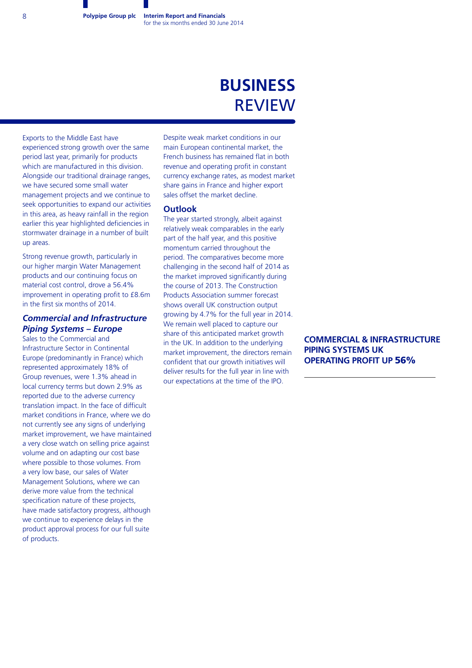Exports to the Middle East have experienced strong growth over the same period last year, primarily for products which are manufactured in this division. Alongside our traditional drainage ranges, we have secured some small water management projects and we continue to seek opportunities to expand our activities in this area, as heavy rainfall in the region earlier this year highlighted deficiencies in stormwater drainage in a number of built up areas.

Strong revenue growth, particularly in our higher margin Water Management products and our continuing focus on material cost control, drove a 56.4% improvement in operating profit to £8.6m in the first six months of 2014.

# *Commercial and Infrastructure Piping Systems – Europe*

Sales to the Commercial and Infrastructure Sector in Continental Europe (predominantly in France) which represented approximately 18% of Group revenues, were 1.3% ahead in local currency terms but down 2.9% as reported due to the adverse currency translation impact. In the face of difficult market conditions in France, where we do not currently see any signs of underlying market improvement, we have maintained a very close watch on selling price against volume and on adapting our cost base where possible to those volumes. From a very low base, our sales of Water Management Solutions, where we can derive more value from the technical specification nature of these projects, have made satisfactory progress, although we continue to experience delays in the product approval process for our full suite of products.

Despite weak market conditions in our main European continental market, the French business has remained flat in both revenue and operating profit in constant currency exchange rates, as modest market share gains in France and higher export sales offset the market decline.

### **Outlook**

The year started strongly, albeit against relatively weak comparables in the early part of the half year, and this positive momentum carried throughout the period. The comparatives become more challenging in the second half of 2014 as the market improved significantly during the course of 2013. The Construction Products Association summer forecast shows overall UK construction output growing by 4.7% for the full year in 2014. We remain well placed to capture our share of this anticipated market growth in the UK. In addition to the underlying market improvement, the directors remain confident that our growth initiatives will deliver results for the full year in line with our expectations at the time of the IPO.

**commercial & infrastructure piping systems UK operating profit UP** 56%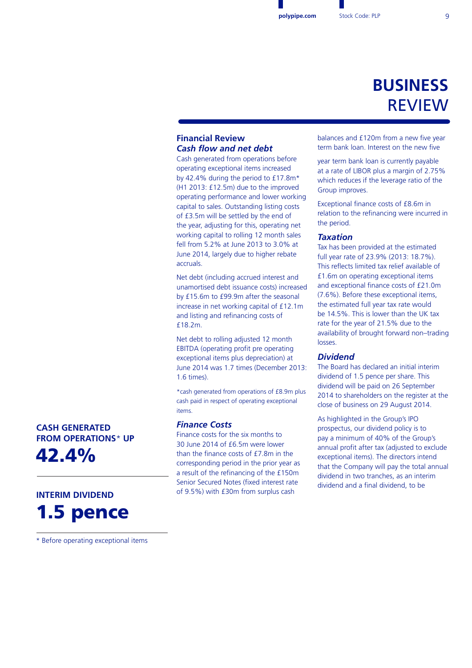# **Financial Review** *Cash flow and net debt*

Cash generated from operations before operating exceptional items increased by 42.4% during the period to £17.8m\* (H1 2013: £12.5m) due to the improved operating performance and lower working capital to sales. Outstanding listing costs of £3.5m will be settled by the end of the year, adjusting for this, operating net working capital to rolling 12 month sales fell from 5.2% at June 2013 to 3.0% at June 2014, largely due to higher rebate accruals.

Net debt (including accrued interest and unamortised debt issuance costs) increased by £15.6m to £99.9m after the seasonal increase in net working capital of £12.1m and listing and refinancing costs of £18.2m.

Net debt to rolling adjusted 12 month EBITDA (operating profit pre operating exceptional items plus depreciation) at June 2014 was 1.7 times (December 2013: 1.6 times).

\*cash generated from operations of £8.9m plus cash paid in respect of operating exceptional items.

### *Finance Costs*

Finance costs for the six months to 30 June 2014 of £6.5m were lower than the finance costs of £7.8m in the corresponding period in the prior year as a result of the refinancing of the £150m Senior Secured Notes (fixed interest rate of 9.5%) with £30m from surplus cash

balances and £120m from a new five year term bank loan. Interest on the new five

year term bank loan is currently payable at a rate of LIBOR plus a margin of 2.75% which reduces if the leverage ratio of the Group improves.

Exceptional finance costs of £8.6m in relation to the refinancing were incurred in the period.

### *Taxation*

Tax has been provided at the estimated full year rate of 23.9% (2013: 18.7%). This reflects limited tax relief available of £1.6m on operating exceptional items and exceptional finance costs of £21.0m (7.6%). Before these exceptional items, the estimated full year tax rate would be 14.5%. This is lower than the UK tax rate for the year of 21.5% due to the availability of brought forward non–trading losses.

## *Dividend*

The Board has declared an initial interim dividend of 1.5 pence per share. This dividend will be paid on 26 September 2014 to shareholders on the register at the close of business on 29 August 2014.

As highlighted in the Group's IPO prospectus, our dividend policy is to pay a minimum of 40% of the Group's annual profit after tax (adjusted to exclude exceptional items). The directors intend that the Company will pay the total annual dividend in two tranches, as an interim dividend and a final dividend, to be

**cash generated from operations**\* **up** 42.4%

# **interim dividend** 1.5 pence

\* Before operating exceptional items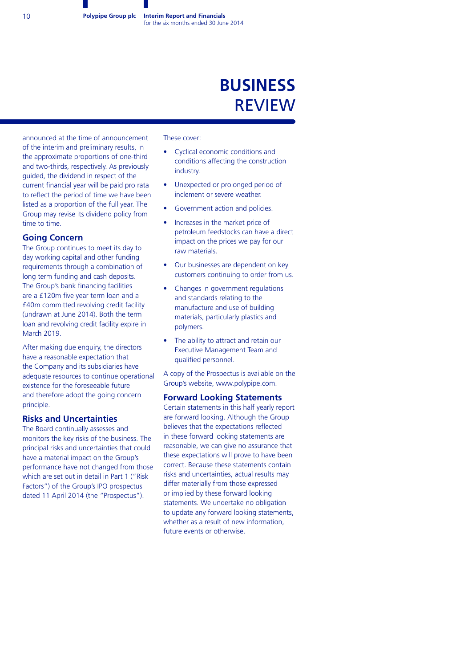announced at the time of announcement of the interim and preliminary results, in the approximate proportions of one-third and two-thirds, respectively. As previously guided, the dividend in respect of the current financial year will be paid pro rata to reflect the period of time we have been listed as a proportion of the full year. The Group may revise its dividend policy from time to time.

### **Going Concern**

The Group continues to meet its day to day working capital and other funding requirements through a combination of long term funding and cash deposits. The Group's bank financing facilities are a £120m five year term loan and a £40m committed revolving credit facility (undrawn at June 2014). Both the term loan and revolving credit facility expire in March 2019.

After making due enquiry, the directors have a reasonable expectation that the Company and its subsidiaries have adequate resources to continue operational existence for the foreseeable future and therefore adopt the going concern principle.

# **Risks and Uncertainties**

The Board continually assesses and monitors the key risks of the business. The principal risks and uncertainties that could have a material impact on the Group's performance have not changed from those which are set out in detail in Part 1 ("Risk Factors") of the Group's IPO prospectus dated 11 April 2014 (the "Prospectus").

### These cover:

- Cyclical economic conditions and conditions affecting the construction industry.
- Unexpected or prolonged period of inclement or severe weather.
- Government action and policies.
- Increases in the market price of petroleum feedstocks can have a direct impact on the prices we pay for our raw materials.
- Our businesses are dependent on key customers continuing to order from us.
- Changes in government regulations and standards relating to the manufacture and use of building materials, particularly plastics and polymers.
- The ability to attract and retain our Executive Management Team and qualified personnel.

A copy of the Prospectus is available on the Group's website, www.polypipe.com.

### **Forward Looking Statements**

Certain statements in this half yearly report are forward looking. Although the Group believes that the expectations reflected in these forward looking statements are reasonable, we can give no assurance that these expectations will prove to have been correct. Because these statements contain risks and uncertainties, actual results may differ materially from those expressed or implied by these forward looking statements. We undertake no obligation to update any forward looking statements, whether as a result of new information future events or otherwise.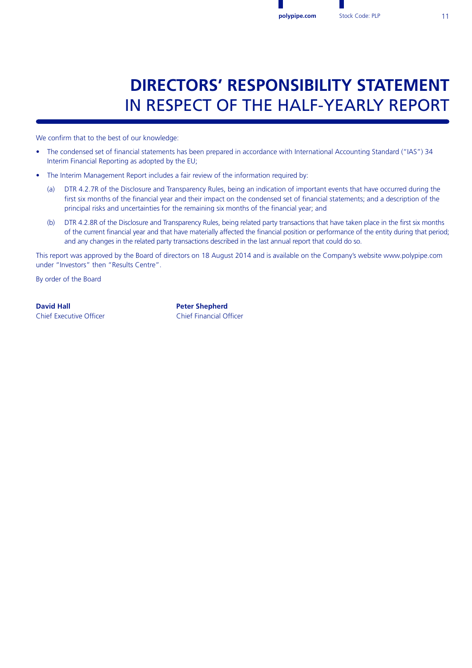# **directors' Responsibility statement** in respect of the half-yearly report

We confirm that to the best of our knowledge:

- The condensed set of financial statements has been prepared in accordance with International Accounting Standard ("IAS") 34 Interim Financial Reporting as adopted by the EU;
- The Interim Management Report includes a fair review of the information required by:
	- (a) DTR 4.2.7R of the Disclosure and Transparency Rules, being an indication of important events that have occurred during the first six months of the financial year and their impact on the condensed set of financial statements; and a description of the principal risks and uncertainties for the remaining six months of the financial year; and
	- (b) DTR 4.2.8R of the Disclosure and Transparency Rules, being related party transactions that have taken place in the first six months of the current financial year and that have materially affected the financial position or performance of the entity during that period; and any changes in the related party transactions described in the last annual report that could do so.

This report was approved by the Board of directors on 18 August 2014 and is available on the Company's website www.polypipe.com under "Investors" then "Results Centre".

By order of the Board

**David Hall** Chief Executive Officer **Peter Shepherd** Chief Financial Officer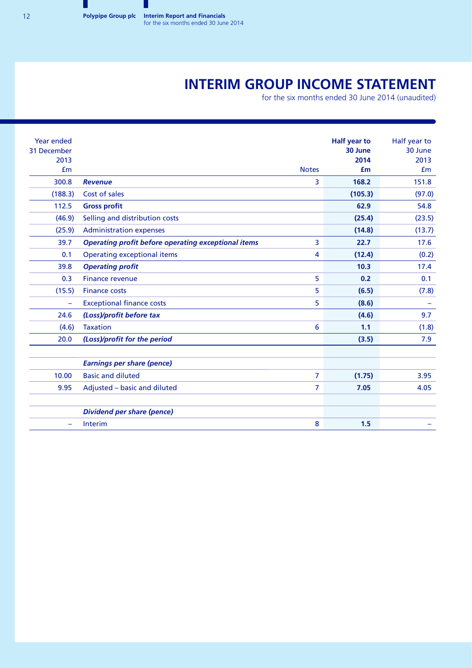# **Interim Group Income Statement**

for the six months ended 30 June 2014 (unaudited)

| Year ended<br>31 December<br>2013 |                                                            |                | <b>Half year to</b><br>30 June<br>2014 | Half year to<br>30 June<br>2013 |
|-----------------------------------|------------------------------------------------------------|----------------|----------------------------------------|---------------------------------|
| <b>fm</b>                         |                                                            | <b>Notes</b>   | <b>fm</b>                              | f <sub>m</sub>                  |
| 300.8                             | <b>Revenue</b>                                             | 3              | 168.2                                  | 151.8                           |
| (188.3)                           | Cost of sales                                              |                | (105.3)                                | (97.0)                          |
| 112.5                             | <b>Gross profit</b>                                        |                | 62.9                                   | 54.8                            |
| (46.9)                            | Selling and distribution costs                             |                | (25.4)                                 | (23.5)                          |
| (25.9)                            | <b>Administration expenses</b>                             |                | (14.8)                                 | (13.7)                          |
| 39.7                              | <b>Operating profit before operating exceptional items</b> | $\overline{3}$ | 22.7                                   | 17.6                            |
| 0.1                               | <b>Operating exceptional items</b>                         | 4              | (12.4)                                 | (0.2)                           |
| 39.8                              | <b>Operating profit</b>                                    |                | 10.3                                   | 17.4                            |
| 0.3                               | <b>Finance revenue</b>                                     | 5              | 0.2                                    | 0.1                             |
| (15.5)                            | <b>Finance costs</b>                                       | 5              | (6.5)                                  | (7.8)                           |
| $\equiv$                          | <b>Exceptional finance costs</b>                           | 5              | (8.6)                                  |                                 |
| 24.6                              | (Loss)/profit before tax                                   |                | (4.6)                                  | 9.7                             |
| (4.6)                             | <b>Taxation</b>                                            | 6              | 1.1                                    | (1.8)                           |
| 20.0                              | (Loss)/profit for the period                               |                | (3.5)                                  | 7.9                             |
|                                   |                                                            |                |                                        |                                 |
|                                   | <b>Earnings per share (pence)</b>                          |                |                                        |                                 |
| 10.00                             | <b>Basic and diluted</b>                                   | $\overline{7}$ | (1.75)                                 | 3.95                            |
| 9.95                              | Adjusted - basic and diluted                               | $\overline{7}$ | 7.05                                   | 4.05                            |
|                                   |                                                            |                |                                        |                                 |
|                                   | <b>Dividend per share (pence)</b>                          |                |                                        |                                 |
|                                   | Interim                                                    | 8              | 1.5                                    |                                 |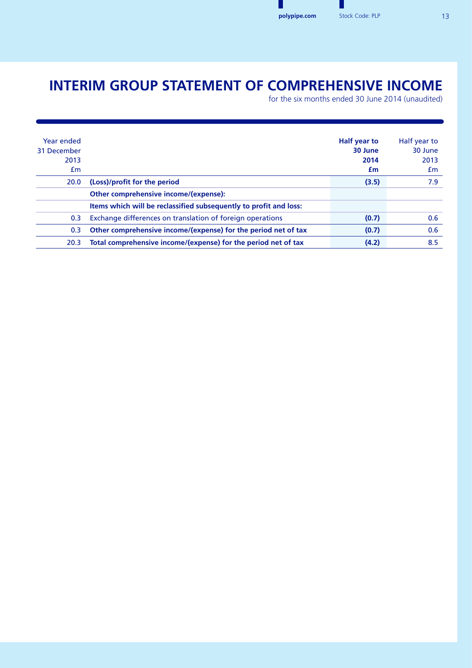# **Interim Group Statement of Comprehensive Income**

for the six months ended 30 June 2014 (unaudited)

| Year ended<br>31 December<br>2013<br>£m |                                                                   | Half year to<br>30 June<br>2014<br>£m | Half year to<br>30 June<br>2013<br>£m |
|-----------------------------------------|-------------------------------------------------------------------|---------------------------------------|---------------------------------------|
| 20.0                                    | (Loss)/profit for the period                                      | (3.5)                                 | 7.9                                   |
|                                         | Other comprehensive income/(expense):                             |                                       |                                       |
|                                         | Items which will be reclassified subsequently to profit and loss: |                                       |                                       |
| 0.3                                     | Exchange differences on translation of foreign operations         | (0.7)                                 | 0.6                                   |
| 0.3                                     | Other comprehensive income/(expense) for the period net of tax    | (0.7)                                 | 0.6                                   |
| 20.3                                    | Total comprehensive income/(expense) for the period net of tax    | (4.2)                                 | 8.5                                   |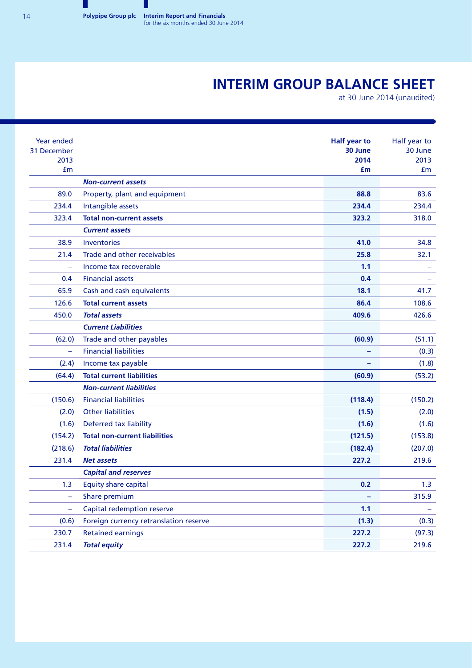# **Interim Group Balance Sheet**

at 30 June 2014 (unaudited)

| Year ended<br>31 December<br>2013<br>£m |                                        | <b>Half year to</b><br>30 June<br>2014<br>£m | Half year to<br>30 June<br>2013<br><b>fm</b> |
|-----------------------------------------|----------------------------------------|----------------------------------------------|----------------------------------------------|
|                                         | <b>Non-current assets</b>              |                                              |                                              |
| 89.0                                    | Property, plant and equipment          | 88.8                                         | 83.6                                         |
| 234.4                                   | Intangible assets                      | 234.4                                        | 234.4                                        |
| 323.4                                   | <b>Total non-current assets</b>        | 323.2                                        | 318.0                                        |
|                                         | <b>Current assets</b>                  |                                              |                                              |
| 38.9                                    | <b>Inventories</b>                     | 41.0                                         | 34.8                                         |
| 21.4                                    | Trade and other receivables            | 25.8                                         | 32.1                                         |
| $\qquad \qquad -$                       | Income tax recoverable                 | 1.1                                          |                                              |
| 0.4                                     | <b>Financial assets</b>                | 0.4                                          |                                              |
| 65.9                                    | Cash and cash equivalents              | 18.1                                         | 41.7                                         |
| 126.6                                   | <b>Total current assets</b>            | 86.4                                         | 108.6                                        |
| 450.0                                   | <b>Total assets</b>                    | 409.6                                        | 426.6                                        |
|                                         | <b>Current Liabilities</b>             |                                              |                                              |
| (62.0)                                  | Trade and other payables               | (60.9)                                       | (51.1)                                       |
| $\equiv$                                | <b>Financial liabilities</b>           |                                              | (0.3)                                        |
| (2.4)                                   | Income tax payable                     |                                              | (1.8)                                        |
| (64.4)                                  | <b>Total current liabilities</b>       | (60.9)                                       | (53.2)                                       |
|                                         | <b>Non-current liabilities</b>         |                                              |                                              |
| (150.6)                                 | <b>Financial liabilities</b>           | (118.4)                                      | (150.2)                                      |
| (2.0)                                   | <b>Other liabilities</b>               | (1.5)                                        | (2.0)                                        |
| (1.6)                                   | Deferred tax liability                 | (1.6)                                        | (1.6)                                        |
| (154.2)                                 | <b>Total non-current liabilities</b>   | (121.5)                                      | (153.8)                                      |
| (218.6)                                 | <b>Total liabilities</b>               | (182.4)                                      | (207.0)                                      |
| 231.4                                   | <b>Net assets</b>                      | 227.2                                        | 219.6                                        |
|                                         | <b>Capital and reserves</b>            |                                              |                                              |
| 1.3                                     | <b>Equity share capital</b>            | 0.2                                          | 1.3                                          |
|                                         | Share premium                          |                                              | 315.9                                        |
| -                                       | Capital redemption reserve             | 1.1                                          |                                              |
| (0.6)                                   | Foreign currency retranslation reserve | (1.3)                                        | (0.3)                                        |
| 230.7                                   | <b>Retained earnings</b>               | 227.2                                        | (97.3)                                       |
| 231.4                                   | <b>Total equity</b>                    | 227.2                                        | 219.6                                        |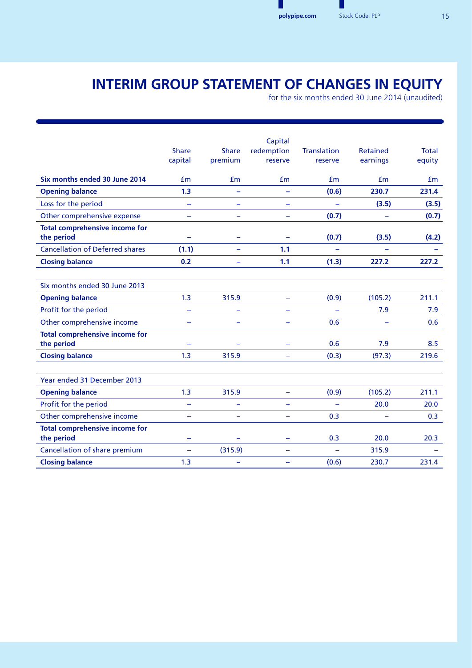# **Interim Group Statement of Changes in Equity**

for the six months ended 30 June 2014 (unaudited)

|                                                     | <b>Share</b><br>capital  | <b>Share</b><br>premium  | Capital<br>redemption<br>reserve | <b>Translation</b><br>reserve | <b>Retained</b><br>earnings | <b>Total</b><br>equity |
|-----------------------------------------------------|--------------------------|--------------------------|----------------------------------|-------------------------------|-----------------------------|------------------------|
| Six months ended 30 June 2014                       | $\mathbf{f}$ m           | $\mathbf{f}$ m           | $\mathbf{f}$ m                   | <b>fm</b>                     | £m                          | f <sub>m</sub>         |
| <b>Opening balance</b>                              | 1.3                      | $\overline{\phantom{0}}$ | -                                | (0.6)                         | 230.7                       | 231.4                  |
| Loss for the period                                 | ۰                        | -                        | -                                | -                             | (3.5)                       | (3.5)                  |
| Other comprehensive expense                         | -                        |                          |                                  | (0.7)                         |                             | (0.7)                  |
| <b>Total comprehensive income for</b><br>the period | ÷                        |                          |                                  | (0.7)                         | (3.5)                       | (4.2)                  |
| <b>Cancellation of Deferred shares</b>              | (1.1)                    |                          | 1.1                              | ÷,                            | -                           |                        |
| <b>Closing balance</b>                              | 0.2                      |                          | 1.1                              | (1.3)                         | 227.2                       | 227.2                  |
|                                                     |                          |                          |                                  |                               |                             |                        |
| Six months ended 30 June 2013                       |                          |                          |                                  |                               |                             |                        |
| <b>Opening balance</b>                              | 1.3                      | 315.9                    |                                  | (0.9)                         | (105.2)                     | 211.1                  |
| Profit for the period                               | $\equiv$                 | $\equiv$                 | $\overline{\phantom{0}}$         | ÷,                            | 7.9                         | 7.9                    |
| Other comprehensive income                          | -                        | $\overline{\phantom{0}}$ | $\overline{\phantom{0}}$         | 0.6                           |                             | 0.6                    |
| <b>Total comprehensive income for</b><br>the period |                          |                          |                                  | 0.6                           | 7.9                         | 8.5                    |
| <b>Closing balance</b>                              | 1.3                      | 315.9                    | $\overline{\phantom{0}}$         | (0.3)                         | (97.3)                      | 219.6                  |
|                                                     |                          |                          |                                  |                               |                             |                        |
| Year ended 31 December 2013                         |                          |                          |                                  |                               |                             |                        |
| <b>Opening balance</b>                              | 1.3                      | 315.9                    | $\overline{\phantom{0}}$         | (0.9)                         | (105.2)                     | 211.1                  |
| Profit for the period                               | -                        | -                        | -                                | $\equiv$                      | 20.0                        | 20.0                   |
| Other comprehensive income                          | $\overline{\phantom{0}}$ |                          |                                  | 0.3                           |                             | 0.3                    |
| <b>Total comprehensive income for</b><br>the period | $\equiv$                 |                          | $\overline{\phantom{0}}$         | 0.3                           | 20.0                        | 20.3                   |
| Cancellation of share premium                       | ÷,                       | (315.9)                  | $\equiv$                         | $\equiv$                      | 315.9                       |                        |
| <b>Closing balance</b>                              | 1.3                      |                          |                                  | (0.6)                         | 230.7                       | 231.4                  |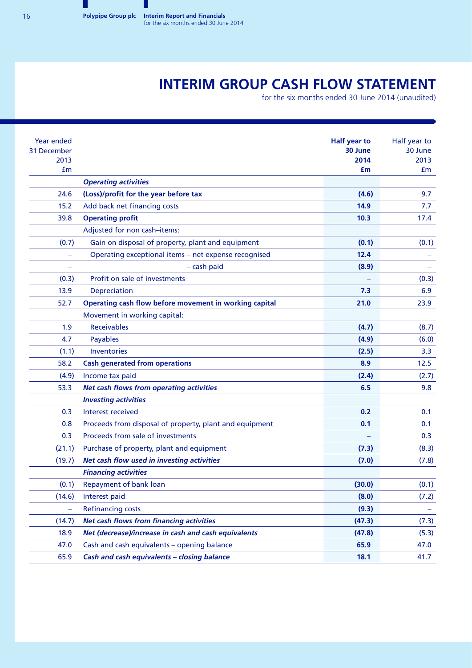# **Interim Group Cash Flow Statement**

for the six months ended 30 June 2014 (unaudited)

| <b>Year ended</b><br>31 December<br>2013<br>£m |                                                         | <b>Half year to</b><br>30 June<br>2014<br>£m | Half year to<br>30 June<br>2013<br>$\mathbf{f}$ m |
|------------------------------------------------|---------------------------------------------------------|----------------------------------------------|---------------------------------------------------|
|                                                | <b>Operating activities</b>                             |                                              |                                                   |
| 24.6                                           | (Loss)/profit for the year before tax                   | (4.6)                                        | 9.7                                               |
| 15.2                                           | Add back net financing costs                            | 14.9                                         | 7.7                                               |
| 39.8                                           | <b>Operating profit</b>                                 | 10.3                                         | 17.4                                              |
|                                                | Adjusted for non cash-items:                            |                                              |                                                   |
| (0.7)                                          | Gain on disposal of property, plant and equipment       | (0.1)                                        | (0.1)                                             |
|                                                | Operating exceptional items - net expense recognised    | 12.4                                         |                                                   |
|                                                | - cash paid                                             | (8.9)                                        |                                                   |
| (0.3)                                          | Profit on sale of investments                           |                                              | (0.3)                                             |
| 13.9                                           | Depreciation                                            | 7.3                                          | 6.9                                               |
| 52.7                                           | Operating cash flow before movement in working capital  | 21.0                                         | 23.9                                              |
|                                                | Movement in working capital:                            |                                              |                                                   |
| 1.9                                            | <b>Receivables</b>                                      | (4.7)                                        | (8.7)                                             |
| 4.7                                            | <b>Payables</b>                                         | (4.9)                                        | (6.0)                                             |
| (1.1)                                          | Inventories                                             | (2.5)                                        | 3.3                                               |
| 58.2                                           | <b>Cash generated from operations</b>                   | 8.9                                          | 12.5                                              |
| (4.9)                                          | Income tax paid                                         | (2.4)                                        | (2.7)                                             |
| 53.3                                           | <b>Net cash flows from operating activities</b>         | 6.5                                          | 9.8                                               |
|                                                | <b>Investing activities</b>                             |                                              |                                                   |
| 0.3                                            | Interest received                                       | 0.2                                          | 0.1                                               |
| 0.8                                            | Proceeds from disposal of property, plant and equipment | 0.1                                          | 0.1                                               |
| 0.3                                            | Proceeds from sale of investments                       |                                              | 0.3                                               |
| (21.1)                                         | Purchase of property, plant and equipment               | (7.3)                                        | (8.3)                                             |
| (19.7)                                         | Net cash flow used in investing activities              | (7.0)                                        | (7.8)                                             |
|                                                | <b>Financing activities</b>                             |                                              |                                                   |
| (0.1)                                          | Repayment of bank loan                                  | (30.0)                                       | (0.1)                                             |
| (14.6)                                         | Interest paid                                           | (8.0)                                        | (7.2)                                             |
| $\qquad \qquad -$                              | <b>Refinancing costs</b>                                | (9.3)                                        |                                                   |
| (14.7)                                         | <b>Net cash flows from financing activities</b>         | (47.3)                                       | (7.3)                                             |
| 18.9                                           | Net (decrease)/increase in cash and cash equivalents    | (47.8)                                       | (5.3)                                             |
| 47.0                                           | Cash and cash equivalents - opening balance             | 65.9                                         | 47.0                                              |
| 65.9                                           | Cash and cash equivalents - closing balance             | 18.1                                         | 41.7                                              |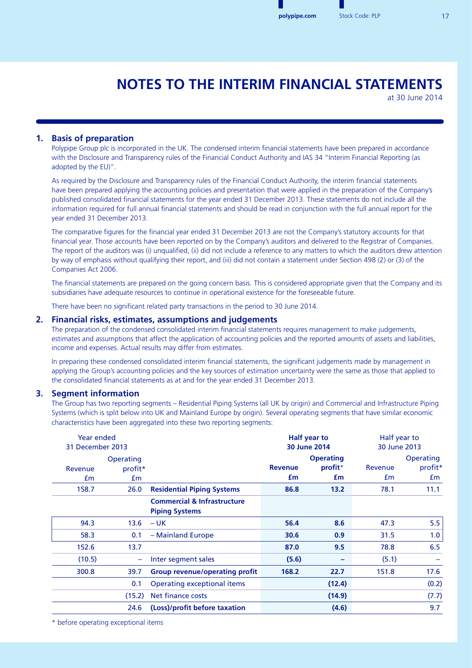# **Notes to the Interim Financial Statements**

at 30 June 2014

### **1. Basis of preparation**

Polypipe Group plc is incorporated in the UK. The condensed interim financial statements have been prepared in accordance with the Disclosure and Transparency rules of the Financial Conduct Authority and IAS 34 "Interim Financial Reporting (as adopted by the EU)".

As required by the Disclosure and Transparency rules of the Financial Conduct Authority, the interim financial statements have been prepared applying the accounting policies and presentation that were applied in the preparation of the Company's published consolidated financial statements for the year ended 31 December 2013. These statements do not include all the information required for full annual financial statements and should be read in conjunction with the full annual report for the year ended 31 December 2013.

The comparative figures for the financial year ended 31 December 2013 are not the Company's statutory accounts for that financial year. Those accounts have been reported on by the Company's auditors and delivered to the Registrar of Companies. The report of the auditors was (i) unqualified, (ii) did not include a reference to any matters to which the auditors drew attention by way of emphasis without qualifying their report, and (iii) did not contain a statement under Section 498 (2) or (3) of the Companies Act 2006.

The financial statements are prepared on the going concern basis. This is considered appropriate given that the Company and its subsidiaries have adequate resources to continue in operational existence for the foreseeable future.

There have been no significant related party transactions in the period to 30 June 2014.

### **2. Financial risks, estimates, assumptions and judgements**

The preparation of the condensed consolidated interim financial statements requires management to make judgements, estimates and assumptions that affect the application of accounting policies and the reported amounts of assets and liabilities, income and expenses. Actual results may differ from estimates.

In preparing these condensed consolidated interim financial statements, the significant judgements made by management in applying the Group's accounting policies and the key sources of estimation uncertainty were the same as those that applied to the consolidated financial statements as at and for the year ended 31 December 2013.

### **3. Segment information**

The Group has two reporting segments – Residential Piping Systems (all UK by origin) and Commercial and Infrastructure Piping Systems (which is split below into UK and Mainland Europe by origin). Several operating segments that have similar economic characteristics have been aggregated into these two reporting segments:

| Year ended<br>31 December 2013 |                |                                                                 | Half year to<br>30 June 2014 |                  |         |           | Half year to<br>30 June 2013 |  |
|--------------------------------|----------------|-----------------------------------------------------------------|------------------------------|------------------|---------|-----------|------------------------------|--|
|                                | Operating      |                                                                 |                              | <b>Operating</b> |         | Operating |                              |  |
| Revenue                        | profit*        |                                                                 | <b>Revenue</b>               | $profit*$        | Revenue | profit*   |                              |  |
| $\mathbf{f}$ m                 | $\mathbf{f}$ m |                                                                 | £m                           | £m               | £m      | £m        |                              |  |
| 158.7                          | 26.0           | <b>Residential Piping Systems</b>                               | 86.8                         | 13.2             | 78.1    | 11.1      |                              |  |
|                                |                | <b>Commercial &amp; Infrastructure</b><br><b>Piping Systems</b> |                              |                  |         |           |                              |  |
| 94.3                           | 13.6           | $- UK$                                                          | 56.4                         | 8.6              | 47.3    | 5.5       |                              |  |
| 58.3                           | 0.1            | - Mainland Europe                                               | 30.6                         | 0.9              | 31.5    | 1.0       |                              |  |
| 152.6                          | 13.7           |                                                                 | 87.0                         | 9.5              | 78.8    | 6.5       |                              |  |
| (10.5)                         |                | Inter segment sales                                             | (5.6)                        | -                | (5.1)   |           |                              |  |
| 300.8                          | 39.7           | <b>Group revenue/operating profit</b>                           | 168.2                        | 22.7             | 151.8   | 17.6      |                              |  |
|                                | 0.1            | Operating exceptional items                                     |                              | (12.4)           |         | (0.2)     |                              |  |
|                                | (15.2)         | Net finance costs                                               |                              | (14.9)           |         | (7.7)     |                              |  |
|                                | 24.6           | (Loss)/profit before taxation                                   |                              | (4.6)            |         | 9.7       |                              |  |

\* before operating exceptional items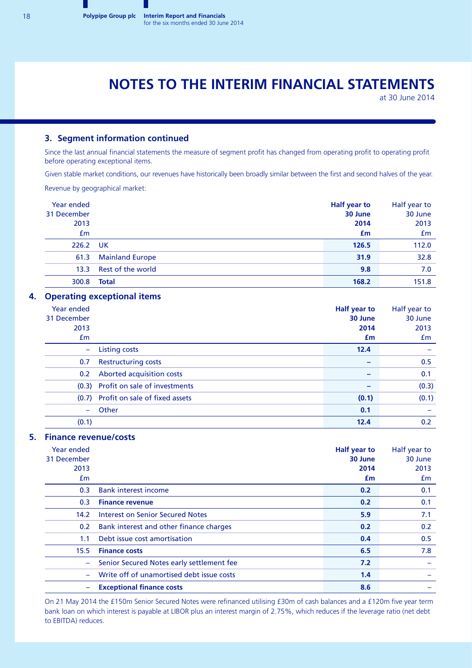# **Notes to the Interim Financial Statements**

at 30 June 2014

# **3. Segment information continued**

Since the last annual financial statements the measure of segment profit has changed from operating profit to operating profit before operating exceptional items.

Given stable market conditions, our revenues have historically been broadly similar between the first and second halves of the year.

Revenue by geographical market:

| Year ended<br>31 December<br>2013<br>$\mathbf{f}$ m |                        | <b>Half year to</b><br>30 June<br>2014<br>£m | Half year to<br>30 June<br>2013<br>$\mathsf{fm}$ |
|-----------------------------------------------------|------------------------|----------------------------------------------|--------------------------------------------------|
| 226.2                                               | UK.                    | 126.5                                        | 112.0                                            |
| 61.3                                                | <b>Mainland Europe</b> | 31.9                                         | 32.8                                             |
|                                                     | 13.3 Rest of the world | 9.8                                          | 7.0                                              |
| 300.8                                               | Total                  | 168.2                                        | 151.8                                            |

### **4. Operating exceptional items**

| <b>Year ended</b><br>31 December |                                      | <b>Half year to</b><br>30 June | Half year to<br>30 June |
|----------------------------------|--------------------------------------|--------------------------------|-------------------------|
| 2013                             |                                      | 2014                           | 2013                    |
| £m                               |                                      | £m                             | $\mathbf{f}$ m          |
|                                  |                                      |                                |                         |
| $\overline{\phantom{m}}$         | Listing costs                        | 12.4                           |                         |
| 0.7                              | <b>Restructuring costs</b>           |                                | 0.5                     |
| 0.2                              | Aborted acquisition costs            | -                              | 0.1                     |
|                                  | (0.3) Profit on sale of investments  | -                              | (0.3)                   |
|                                  | (0.7) Profit on sale of fixed assets | (0.1)                          | (0.1)                   |
| $\overline{\phantom{m}}$         | Other                                | 0.1                            |                         |
| (0.1)                            |                                      | 12.4                           | 0.2                     |

### **5. Finance revenue/costs**

| Year ended<br>31 December<br>2013<br>$\mathbf{f}$ m |                                           | Half year to<br>30 June<br>2014<br>£m | Half year to<br>30 June<br>2013<br>£m |
|-----------------------------------------------------|-------------------------------------------|---------------------------------------|---------------------------------------|
| 0.3 <sub>0</sub>                                    | <b>Bank interest income</b>               | 0.2                                   | 0.1                                   |
| 0.3                                                 | <b>Finance revenue</b>                    | 0.2                                   | 0.1                                   |
| 14.2                                                | Interest on Senior Secured Notes          | 5.9                                   | 7.1                                   |
| 0.2                                                 | Bank interest and other finance charges   | 0.2                                   | 0.2                                   |
| 1.1                                                 | Debt issue cost amortisation              | 0.4                                   | 0.5                                   |
| 15.5                                                | <b>Finance costs</b>                      | 6.5                                   | 7.8                                   |
| $\overline{\phantom{m}}$                            | Senior Secured Notes early settlement fee | 7.2                                   |                                       |
| $\overline{\phantom{m}}$                            | Write off of unamortised debt issue costs | 1.4                                   |                                       |
| $\overline{\phantom{0}}$                            | <b>Exceptional finance costs</b>          | 8.6                                   |                                       |

On 21 May 2014 the £150m Senior Secured Notes were refinanced utilising £30m of cash balances and a £120m five year term bank loan on which interest is payable at LIBOR plus an interest margin of 2.75%, which reduces if the leverage ratio (net debt to EBITDA) reduces.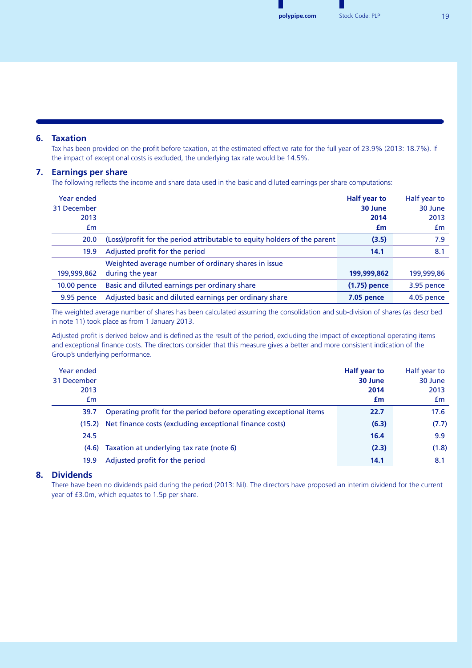### **6. Taxation**

Tax has been provided on the profit before taxation, at the estimated effective rate for the full year of 23.9% (2013: 18.7%). If the impact of exceptional costs is excluded, the underlying tax rate would be 14.5%.

### **7. Earnings per share**

The following reflects the income and share data used in the basic and diluted earnings per share computations:

| Year ended<br>31 December<br>2013<br>$\mathbf{f}$ m |                                                                           | Half year to<br>30 June<br>2014<br>£m | Half year to<br>30 June<br>2013<br>£m |
|-----------------------------------------------------|---------------------------------------------------------------------------|---------------------------------------|---------------------------------------|
| <b>20.0</b>                                         | (Loss)/profit for the period attributable to equity holders of the parent | (3.5)                                 | 7.9                                   |
| 19.9                                                | Adjusted profit for the period                                            | 14.1                                  | 8.1                                   |
| 199,999,862                                         | Weighted average number of ordinary shares in issue<br>during the year    | 199,999,862                           | 199,999,86                            |
| 10.00 pence                                         | Basic and diluted earnings per ordinary share                             | $(1.75)$ pence                        | 3.95 pence                            |
| 9.95 pence                                          | Adjusted basic and diluted earnings per ordinary share                    | <b>7.05 pence</b>                     | 4.05 pence                            |

The weighted average number of shares has been calculated assuming the consolidation and sub-division of shares (as described in note 11) took place as from 1 January 2013.

Adjusted profit is derived below and is defined as the result of the period, excluding the impact of exceptional operating items and exceptional finance costs. The directors consider that this measure gives a better and more consistent indication of the Group's underlying performance.

| Year ended  |                                                                    | Half year to | Half year to |
|-------------|--------------------------------------------------------------------|--------------|--------------|
| 31 December |                                                                    | 30 June      | 30 June      |
| 2013        |                                                                    | 2014         | 2013         |
| £m          |                                                                    | £m           | £m           |
| 39.7        | Operating profit for the period before operating exceptional items | 22.7         | 17.6         |
| (15.2)      | Net finance costs (excluding exceptional finance costs)            | (6.3)        | (7.7)        |
| 24.5        |                                                                    | 16.4         | 9.9          |
| (4.6)       | Taxation at underlying tax rate (note 6)                           | (2.3)        | (1.8)        |
| 19.9        | Adjusted profit for the period                                     | 14.1         | 8.1          |

# **8. Dividends**

There have been no dividends paid during the period (2013: Nil). The directors have proposed an interim dividend for the current year of £3.0m, which equates to 1.5p per share.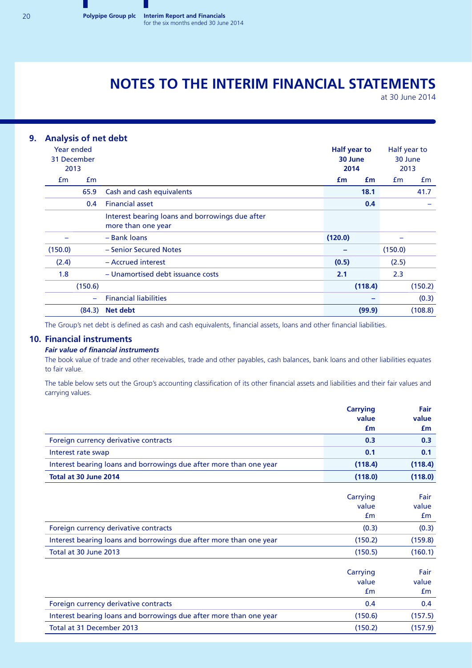# **Notes to the Interim Financial Statements**

at 30 June 2014

# **9. Analysis of net debt**

| Year ended<br>31 December<br>2013 |                                                                       | <b>Half year to</b><br>30 June<br>2014 |         | Half year to<br>30 June<br>2013 |         |
|-----------------------------------|-----------------------------------------------------------------------|----------------------------------------|---------|---------------------------------|---------|
| $\mathbf{f}$ m<br>$\mathbf{f}$ m  |                                                                       | £m                                     | £m      | $\mathbf{f}$ m                  | £m      |
| 65.9                              | Cash and cash equivalents                                             |                                        | 18.1    |                                 | 41.7    |
| 0.4                               | <b>Financial asset</b>                                                |                                        | 0.4     |                                 |         |
|                                   | Interest bearing loans and borrowings due after<br>more than one year |                                        |         |                                 |         |
|                                   | - Bank Joans                                                          | (120.0)                                |         |                                 |         |
| (150.0)                           | - Senior Secured Notes                                                |                                        |         | (150.0)                         |         |
| (2.4)                             | - Accrued interest                                                    | (0.5)                                  |         | (2.5)                           |         |
| 1.8                               | - Unamortised debt issuance costs                                     | 2.1                                    |         | 2.3                             |         |
| (150.6)                           |                                                                       |                                        | (118.4) |                                 | (150.2) |
| $\overline{\phantom{0}}$          | <b>Financial liabilities</b>                                          |                                        |         |                                 | (0.3)   |
| (84.3)                            | <b>Net debt</b>                                                       |                                        | (99.9)  |                                 | (108.8) |

The Group's net debt is defined as cash and cash equivalents, financial assets, loans and other financial liabilities.

# **10. Financial instruments**

### *Fair value of financial instruments*

The book value of trade and other receivables, trade and other payables, cash balances, bank loans and other liabilities equates to fair value.

The table below sets out the Group's accounting classification of its other financial assets and liabilities and their fair values and carrying values.

|                                                                    | <b>Carrying</b><br>value<br>£m      | Fair<br>value<br>£m             |
|--------------------------------------------------------------------|-------------------------------------|---------------------------------|
| Foreign currency derivative contracts                              | 0.3                                 | 0.3                             |
| Interest rate swap                                                 | 0.1                                 | 0.1                             |
| Interest bearing loans and borrowings due after more than one year | (118.4)                             | (118.4)                         |
| Total at 30 June 2014                                              | (118.0)                             | (118.0)                         |
|                                                                    | Carrying<br>value<br>$\mathbf{f}$ m | Fair<br>value<br>$\mathbf{f}$ m |
| Foreign currency derivative contracts                              | (0.3)                               | (0.3)                           |
| Interest bearing loans and borrowings due after more than one year | (150.2)                             | (159.8)                         |
| Total at 30 June 2013                                              | (150.5)                             | (160.1)                         |
|                                                                    | Carrying<br>value<br>$\mathbf{f}$ m | Fair<br>value<br>$\mathbf{f}$ m |
| Foreign currency derivative contracts                              | 0.4                                 | 0.4                             |
| Interest bearing loans and borrowings due after more than one year | (150.6)                             | (157.5)                         |
| Total at 31 December 2013                                          | (150.2)                             | (157.9)                         |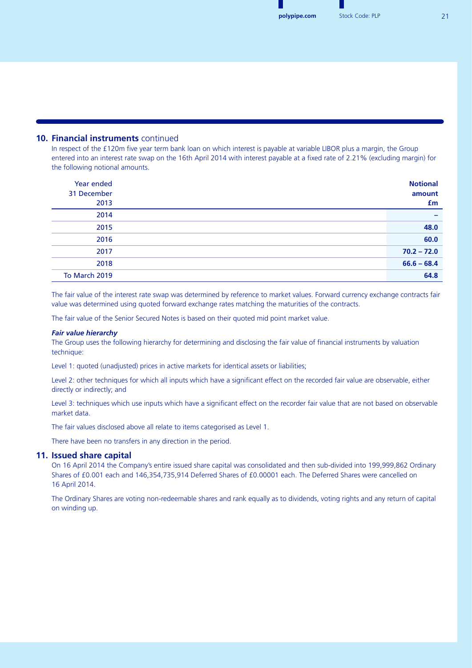# **10. Financial instruments** continued

In respect of the £120m five year term bank loan on which interest is payable at variable LIBOR plus a margin, the Group entered into an interest rate swap on the 16th April 2014 with interest payable at a fixed rate of 2.21% (excluding margin) for the following notional amounts.

| Year ended<br>31 December<br>2013 | <b>Notional</b><br>amount<br>£m |
|-----------------------------------|---------------------------------|
| 2014                              |                                 |
| 2015                              | 48.0                            |
| 2016                              | 60.0                            |
| 2017                              | $70.2 - 72.0$                   |
| 2018                              | $66.6 - 68.4$                   |
| To March 2019                     | 64.8                            |

The fair value of the interest rate swap was determined by reference to market values. Forward currency exchange contracts fair value was determined using quoted forward exchange rates matching the maturities of the contracts.

The fair value of the Senior Secured Notes is based on their quoted mid point market value.

### *Fair value hierarchy*

The Group uses the following hierarchy for determining and disclosing the fair value of financial instruments by valuation technique:

Level 1: quoted (unadjusted) prices in active markets for identical assets or liabilities;

Level 2: other techniques for which all inputs which have a significant effect on the recorded fair value are observable, either directly or indirectly; and

Level 3: techniques which use inputs which have a significant effect on the recorder fair value that are not based on observable market data.

The fair values disclosed above all relate to items categorised as Level 1.

There have been no transfers in any direction in the period.

### **11. Issued share capital**

On 16 April 2014 the Company's entire issued share capital was consolidated and then sub-divided into 199,999,862 Ordinary Shares of £0.001 each and 146,354,735,914 Deferred Shares of £0.00001 each. The Deferred Shares were cancelled on 16 April 2014.

The Ordinary Shares are voting non-redeemable shares and rank equally as to dividends, voting rights and any return of capital on winding up.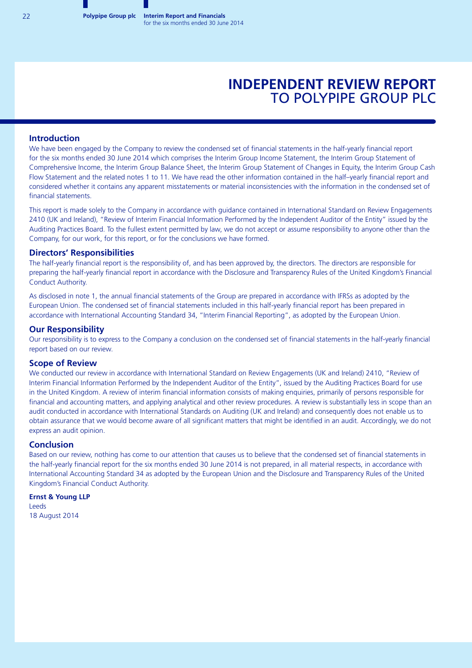### for the six months ended 30 June 2014

# **Independent Review Report** to Polypipe Group plc

# **Introduction**

We have been engaged by the Company to review the condensed set of financial statements in the half-yearly financial report for the six months ended 30 June 2014 which comprises the Interim Group Income Statement, the Interim Group Statement of Comprehensive Income, the Interim Group Balance Sheet, the Interim Group Statement of Changes in Equity, the Interim Group Cash Flow Statement and the related notes 1 to 11. We have read the other information contained in the half–yearly financial report and considered whether it contains any apparent misstatements or material inconsistencies with the information in the condensed set of financial statements.

This report is made solely to the Company in accordance with guidance contained in International Standard on Review Engagements 2410 (UK and Ireland), "Review of Interim Financial Information Performed by the Independent Auditor of the Entity" issued by the Auditing Practices Board. To the fullest extent permitted by law, we do not accept or assume responsibility to anyone other than the Company, for our work, for this report, or for the conclusions we have formed.

# **Directors' Responsibilities**

The half-yearly financial report is the responsibility of, and has been approved by, the directors. The directors are responsible for preparing the half-yearly financial report in accordance with the Disclosure and Transparency Rules of the United Kingdom's Financial Conduct Authority.

As disclosed in note 1, the annual financial statements of the Group are prepared in accordance with IFRSs as adopted by the European Union. The condensed set of financial statements included in this half-yearly financial report has been prepared in accordance with International Accounting Standard 34, "Interim Financial Reporting", as adopted by the European Union.

# **Our Responsibility**

Our responsibility is to express to the Company a conclusion on the condensed set of financial statements in the half-yearly financial report based on our review.

# **Scope of Review**

We conducted our review in accordance with International Standard on Review Engagements (UK and Ireland) 2410, "Review of Interim Financial Information Performed by the Independent Auditor of the Entity", issued by the Auditing Practices Board for use in the United Kingdom. A review of interim financial information consists of making enquiries, primarily of persons responsible for financial and accounting matters, and applying analytical and other review procedures. A review is substantially less in scope than an audit conducted in accordance with International Standards on Auditing (UK and Ireland) and consequently does not enable us to obtain assurance that we would become aware of all significant matters that might be identified in an audit. Accordingly, we do not express an audit opinion.

### **Conclusion**

Based on our review, nothing has come to our attention that causes us to believe that the condensed set of financial statements in the half-yearly financial report for the six months ended 30 June 2014 is not prepared, in all material respects, in accordance with International Accounting Standard 34 as adopted by the European Union and the Disclosure and Transparency Rules of the United Kingdom's Financial Conduct Authority.

**Ernst & Young LLP** Leeds 18 August 2014